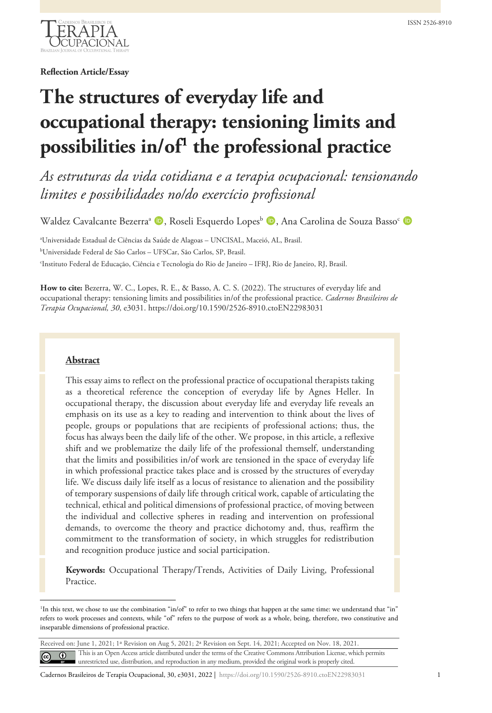

**Reflection Article/Essay**

# **The structures of everyday life and occupational therapy: tensioning limits and possibilities in/of[1](#page--1-0) the professional practice**

*As estruturas da vida cotidiana e a terapia ocupacional: tensionando limites e possibilidades no/do exercício profissional*

Waldez Cavalcante Bezerra<sup>a</sup> (D, Roseli Esquerdo Lopes<sup>b</sup> (D, Ana Carolina de Souza Basso<sup>c</sup> (D

a Universidade Estadual de Ciências da Saúde de Alagoas – UNCISAL, Maceió, AL, Brasil.

b Universidade Federal de São Carlos – UFSCar, São Carlos, SP, Brasil.

c Instituto Federal de Educação, Ciência e Tecnologia do Rio de Janeiro – IFRJ, Rio de Janeiro, RJ, Brasil.

**How to cite:** Bezerra, W. C., Lopes, R. E., & Basso, A. C. S. (2022). The structures of everyday life and occupational therapy: tensioning limits and possibilities in/of the professional practice. *Cadernos Brasileiros de Terapia Ocupacional, 30*, e3031. https://doi.org/10.1590/2526-8910.ctoEN22983031

## **Abstract**

This essay aims to reflect on the professional practice of occupational therapists taking as a theoretical reference the conception of everyday life by Agnes Heller. In occupational therapy, the discussion about everyday life and everyday life reveals an emphasis on its use as a key to reading and intervention to think about the lives of people, groups or populations that are recipients of professional actions; thus, the focus has always been the daily life of the other. We propose, in this article, a reflexive shift and we problematize the daily life of the professional themself, understanding that the limits and possibilities in/of work are tensioned in the space of everyday life in which professional practice takes place and is crossed by the structures of everyday life. We discuss daily life itself as a locus of resistance to alienation and the possibility of temporary suspensions of daily life through critical work, capable of articulating the technical, ethical and political dimensions of professional practice, of moving between the individual and collective spheres in reading and intervention on professional demands, to overcome the theory and practice dichotomy and, thus, reaffirm the commitment to the transformation of society, in which struggles for redistribution and recognition produce justice and social participation.

**Keywords:** Occupational Therapy/Trends, Activities of Daily Living, Professional Practice.

<sup>1</sup> In this text, we chose to use the combination "in/of" to refer to two things that happen at the same time: we understand that "in" refers to work processes and contexts, while "of" refers to the purpose of work as a whole, being, therefore, two constitutive and inseparable dimensions of professional practice.

Received on: June 1, 2021; 1ª Revision on Aug 5, 2021; 2ª Revision on Sept. 14, 2021; Accepted on Nov. 18, 2021. This is an Open Access article distributed under the terms of the Creative Commons Attribution License, which permits unrestricted use, distribution, and reproduction in any medium, provided the original work is properly cited.

Cadernos Brasileiros de Terapia Ocupacional, 30, e3031, 2022 | https://doi.org/10.1590/2526-8910.ctoEN22983031 1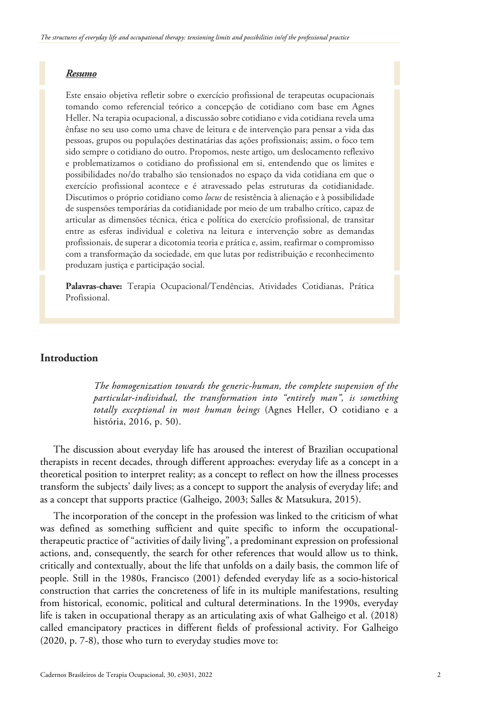## *Resumo*

Este ensaio objetiva refletir sobre o exercício profissional de terapeutas ocupacionais tomando como referencial teórico a concepção de cotidiano com base em Agnes Heller. Na terapia ocupacional, a discussão sobre cotidiano e vida cotidiana revela uma ênfase no seu uso como uma chave de leitura e de intervenção para pensar a vida das pessoas, grupos ou populações destinatárias das ações profissionais; assim, o foco tem sido sempre o cotidiano do outro. Propomos, neste artigo, um deslocamento reflexivo e problematizamos o cotidiano do profissional em si, entendendo que os limites e possibilidades no/do trabalho são tensionados no espaço da vida cotidiana em que o exercício profissional acontece e é atravessado pelas estruturas da cotidianidade. Discutimos o próprio cotidiano como *locus* de resistência à alienação e à possibilidade de suspensões temporárias da cotidianidade por meio de um trabalho crítico, capaz de articular as dimensões técnica, ética e política do exercício profissional, de transitar entre as esferas individual e coletiva na leitura e intervenção sobre as demandas profissionais, de superar a dicotomia teoria e prática e, assim, reafirmar o compromisso com a transformação da sociedade, em que lutas por redistribuição e reconhecimento produzam justiça e participação social.

**Palavras-chave:** Terapia Ocupacional/Tendências, Atividades Cotidianas, Prática Profissional.

## **Introduction**

*The homogenization towards the generic-human, the complete suspension of the particular-individual, the transformation into "entirely man", is something totally exceptional in most human beings* (Agnes Heller, O cotidiano e a história, 2016, p. 50).

The discussion about everyday life has aroused the interest of Brazilian occupational therapists in recent decades, through different approaches: everyday life as a concept in a theoretical position to interpret reality; as a concept to reflect on how the illness processes transform the subjects' daily lives; as a concept to support the analysis of everyday life; and as a concept that supports practice (Galheigo, 2003; Salles & Matsukura, 2015).

The incorporation of the concept in the profession was linked to the criticism of what was defined as something sufficient and quite specific to inform the occupationaltherapeutic practice of "activities of daily living", a predominant expression on professional actions, and, consequently, the search for other references that would allow us to think, critically and contextually, about the life that unfolds on a daily basis, the common life of people. Still in the 1980s, Francisco (2001) defended everyday life as a socio-historical construction that carries the concreteness of life in its multiple manifestations, resulting from historical, economic, political and cultural determinations. In the 1990s, everyday life is taken in occupational therapy as an articulating axis of what Galheigo et al. (2018) called emancipatory practices in different fields of professional activity. For Galheigo (2020, p. 7-8), those who turn to everyday studies move to: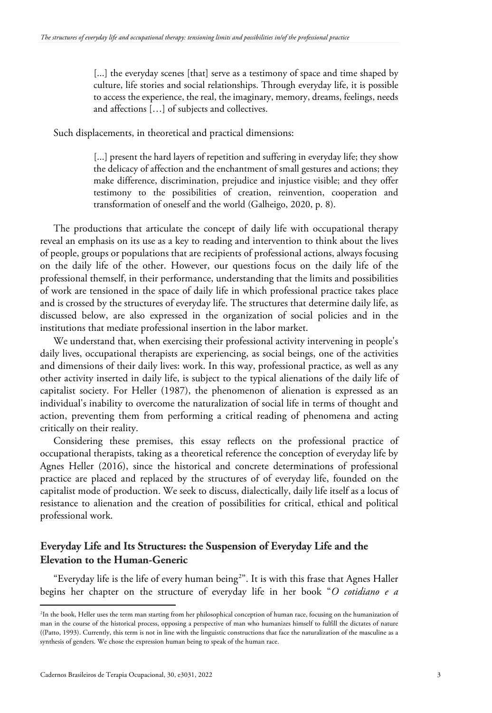[...] the everyday scenes [that] serve as a testimony of space and time shaped by culture, life stories and social relationships. Through everyday life, it is possible to access the experience, the real, the imaginary, memory, dreams, feelings, needs and affections […] of subjects and collectives.

Such displacements, in theoretical and practical dimensions:

[...] present the hard layers of repetition and suffering in everyday life; they show the delicacy of affection and the enchantment of small gestures and actions; they make difference, discrimination, prejudice and injustice visible; and they offer testimony to the possibilities of creation, reinvention, cooperation and transformation of oneself and the world (Galheigo, 2020, p. 8).

The productions that articulate the concept of daily life with occupational therapy reveal an emphasis on its use as a key to reading and intervention to think about the lives of people, groups or populations that are recipients of professional actions, always focusing on the daily life of the other. However, our questions focus on the daily life of the professional themself, in their performance, understanding that the limits and possibilities of work are tensioned in the space of daily life in which professional practice takes place and is crossed by the structures of everyday life. The structures that determine daily life, as discussed below, are also expressed in the organization of social policies and in the institutions that mediate professional insertion in the labor market.

We understand that, when exercising their professional activity intervening in people's daily lives, occupational therapists are experiencing, as social beings, one of the activities and dimensions of their daily lives: work. In this way, professional practice, as well as any other activity inserted in daily life, is subject to the typical alienations of the daily life of capitalist society. For Heller (1987), the phenomenon of alienation is expressed as an individual's inability to overcome the naturalization of social life in terms of thought and action, preventing them from performing a critical reading of phenomena and acting critically on their reality.

Considering these premises, this essay reflects on the professional practice of occupational therapists, taking as a theoretical reference the conception of everyday life by Agnes Heller (2016), since the historical and concrete determinations of professional practice are placed and replaced by the structures of of everyday life, founded on the capitalist mode of production. We seek to discuss, dialectically, daily life itself as a locus of resistance to alienation and the creation of possibilities for critical, ethical and political professional work.

# **Everyday Life and Its Structures: the Suspension of Everyday Life and the Elevation to the Human-Generic**

"Everyday life is the life of every human being<sup>[2](#page-2-0)"</sup>. It is with this frase that Agnes Haller begins her chapter on the structure of everyday life in her book "*O cotidiano e a* 

<span id="page-2-0"></span><sup>2</sup> In the book, Heller uses the term man starting from her philosophical conception of human race, focusing on the humanization of man in the course of the historical process, opposing a perspective of man who humanizes himself to fulfill the dictates of nature ((Patto, 1993). Currently, this term is not in line with the linguistic constructions that face the naturalization of the masculine as a synthesis of genders. We chose the expression human being to speak of the human race.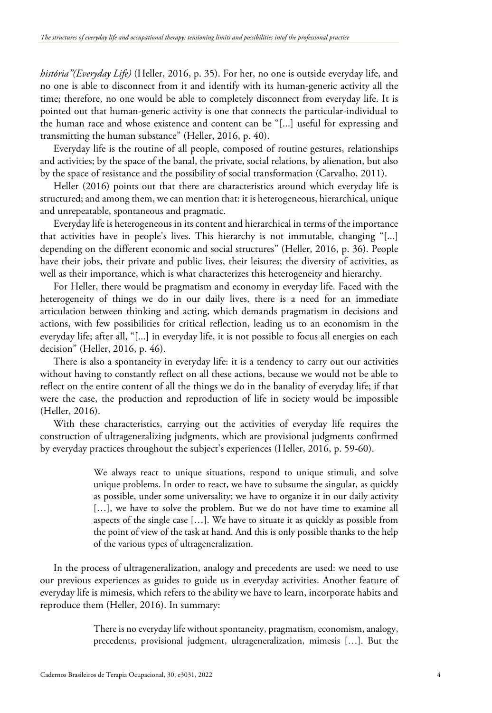*história"(Everyday Life)* (Heller, 2016, p. 35). For her, no one is outside everyday life, and no one is able to disconnect from it and identify with its human-generic activity all the time; therefore, no one would be able to completely disconnect from everyday life. It is pointed out that human-generic activity is one that connects the particular-individual to the human race and whose existence and content can be "[...] useful for expressing and transmitting the human substance" (Heller, 2016, p. 40).

Everyday life is the routine of all people, composed of routine gestures, relationships and activities; by the space of the banal, the private, social relations, by alienation, but also by the space of resistance and the possibility of social transformation (Carvalho, 2011).

Heller (2016) points out that there are characteristics around which everyday life is structured; and among them, we can mention that: it is heterogeneous, hierarchical, unique and unrepeatable, spontaneous and pragmatic.

Everyday life is heterogeneous in its content and hierarchical in terms of the importance that activities have in people's lives. This hierarchy is not immutable, changing "[...] depending on the different economic and social structures" (Heller, 2016, p. 36). People have their jobs, their private and public lives, their leisures; the diversity of activities, as well as their importance, which is what characterizes this heterogeneity and hierarchy.

For Heller, there would be pragmatism and economy in everyday life. Faced with the heterogeneity of things we do in our daily lives, there is a need for an immediate articulation between thinking and acting, which demands pragmatism in decisions and actions, with few possibilities for critical reflection, leading us to an economism in the everyday life; after all, "[...] in everyday life, it is not possible to focus all energies on each decision" (Heller, 2016, p. 46).

There is also a spontaneity in everyday life: it is a tendency to carry out our activities without having to constantly reflect on all these actions, because we would not be able to reflect on the entire content of all the things we do in the banality of everyday life; if that were the case, the production and reproduction of life in society would be impossible (Heller, 2016).

With these characteristics, carrying out the activities of everyday life requires the construction of ultrageneralizing judgments, which are provisional judgments confirmed by everyday practices throughout the subject's experiences (Heller, 2016, p. 59-60).

> We always react to unique situations, respond to unique stimuli, and solve unique problems. In order to react, we have to subsume the singular, as quickly as possible, under some universality; we have to organize it in our daily activity [...], we have to solve the problem. But we do not have time to examine all aspects of the single case […]. We have to situate it as quickly as possible from the point of view of the task at hand. And this is only possible thanks to the help of the various types of ultrageneralization.

In the process of ultrageneralization, analogy and precedents are used: we need to use our previous experiences as guides to guide us in everyday activities. Another feature of everyday life is mimesis, which refers to the ability we have to learn, incorporate habits and reproduce them (Heller, 2016). In summary:

> There is no everyday life without spontaneity, pragmatism, economism, analogy, precedents, provisional judgment, ultrageneralization, mimesis […]. But the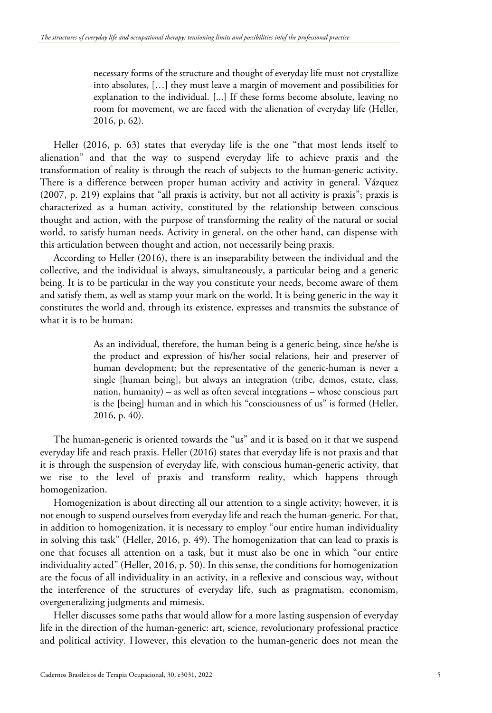necessary forms of the structure and thought of everyday life must not crystallize into absolutes, […] they must leave a margin of movement and possibilities for explanation to the individual. [...] If these forms become absolute, leaving no room for movement, we are faced with the alienation of everyday life (Heller, 2016, p. 62).

Heller (2016, p. 63) states that everyday life is the one "that most lends itself to alienation" and that the way to suspend everyday life to achieve praxis and the transformation of reality is through the reach of subjects to the human-generic activity. There is a difference between proper human activity and activity in general. Vázquez (2007, p. 219) explains that "all praxis is activity, but not all activity is praxis"; praxis is characterized as a human activity, constituted by the relationship between conscious thought and action, with the purpose of transforming the reality of the natural or social world, to satisfy human needs. Activity in general, on the other hand, can dispense with this articulation between thought and action, not necessarily being praxis.

According to Heller (2016), there is an inseparability between the individual and the collective, and the individual is always, simultaneously, a particular being and a generic being. It is to be particular in the way you constitute your needs, become aware of them and satisfy them, as well as stamp your mark on the world. It is being generic in the way it constitutes the world and, through its existence, expresses and transmits the substance of what it is to be human:

> As an individual, therefore, the human being is a generic being, since he/she is the product and expression of his/her social relations, heir and preserver of human development; but the representative of the generic-human is never a single [human being], but always an integration (tribe, demos, estate, class, nation, humanity) – as well as often several integrations – whose conscious part is the [being] human and in which his "consciousness of us" is formed (Heller, 2016, p. 40).

The human-generic is oriented towards the "us" and it is based on it that we suspend everyday life and reach praxis. Heller (2016) states that everyday life is not praxis and that it is through the suspension of everyday life, with conscious human-generic activity, that we rise to the level of praxis and transform reality, which happens through homogenization.

Homogenization is about directing all our attention to a single activity; however, it is not enough to suspend ourselves from everyday life and reach the human-generic. For that, in addition to homogenization, it is necessary to employ "our entire human individuality in solving this task" (Heller, 2016, p. 49). The homogenization that can lead to praxis is one that focuses all attention on a task, but it must also be one in which "our entire individuality acted" (Heller, 2016, p. 50). In this sense, the conditions for homogenization are the focus of all individuality in an activity, in a reflexive and conscious way, without the interference of the structures of everyday life, such as pragmatism, economism, overgeneralizing judgments and mimesis.

Heller discusses some paths that would allow for a more lasting suspension of everyday life in the direction of the human-generic: art, science, revolutionary professional practice and political activity. However, this elevation to the human-generic does not mean the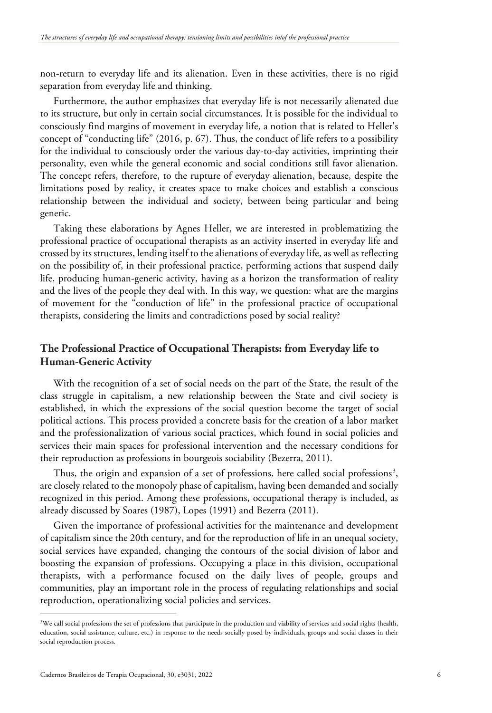non-return to everyday life and its alienation. Even in these activities, there is no rigid separation from everyday life and thinking.

Furthermore, the author emphasizes that everyday life is not necessarily alienated due to its structure, but only in certain social circumstances. It is possible for the individual to consciously find margins of movement in everyday life, a notion that is related to Heller's concept of "conducting life" (2016, p. 67). Thus, the conduct of life refers to a possibility for the individual to consciously order the various day-to-day activities, imprinting their personality, even while the general economic and social conditions still favor alienation. The concept refers, therefore, to the rupture of everyday alienation, because, despite the limitations posed by reality, it creates space to make choices and establish a conscious relationship between the individual and society, between being particular and being generic.

Taking these elaborations by Agnes Heller, we are interested in problematizing the professional practice of occupational therapists as an activity inserted in everyday life and crossed by its structures, lending itself to the alienations of everyday life, as well as reflecting on the possibility of, in their professional practice, performing actions that suspend daily life, producing human-generic activity, having as a horizon the transformation of reality and the lives of the people they deal with. In this way, we question: what are the margins of movement for the "conduction of life" in the professional practice of occupational therapists, considering the limits and contradictions posed by social reality?

# **The Professional Practice of Occupational Therapists: from Everyday life to Human-Generic Activity**

With the recognition of a set of social needs on the part of the State, the result of the class struggle in capitalism, a new relationship between the State and civil society is established, in which the expressions of the social question become the target of social political actions. This process provided a concrete basis for the creation of a labor market and the professionalization of various social practices, which found in social policies and services their main spaces for professional intervention and the necessary conditions for their reproduction as professions in bourgeois sociability (Bezerra, 2011).

Thus, the origin and expansion of a set of professions, here called social professions<sup>[3](#page-5-0)</sup>, are closely related to the monopoly phase of capitalism, having been demanded and socially recognized in this period. Among these professions, occupational therapy is included, as already discussed by Soares (1987), Lopes (1991) and Bezerra (2011).

Given the importance of professional activities for the maintenance and development of capitalism since the 20th century, and for the reproduction of life in an unequal society, social services have expanded, changing the contours of the social division of labor and boosting the expansion of professions. Occupying a place in this division, occupational therapists, with a performance focused on the daily lives of people, groups and communities, play an important role in the process of regulating relationships and social reproduction, operationalizing social policies and services.

<span id="page-5-0"></span><sup>&</sup>lt;sup>3</sup>We call social professions the set of professions that participate in the production and viability of services and social rights (health, education, social assistance, culture, etc.) in response to the needs socially posed by individuals, groups and social classes in their social reproduction process.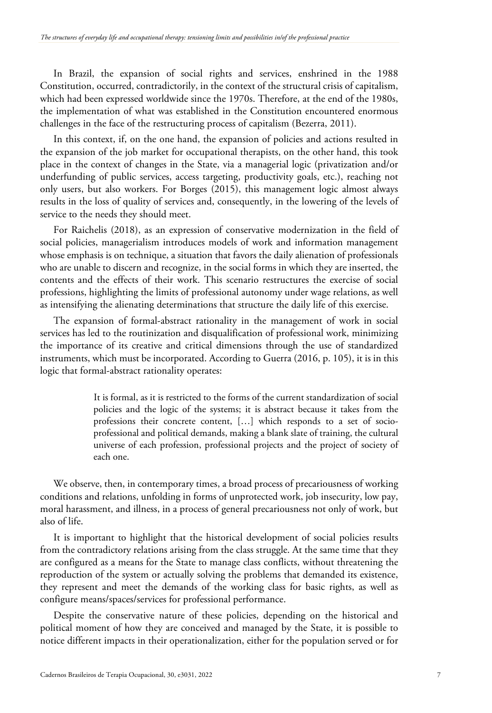In Brazil, the expansion of social rights and services, enshrined in the 1988 Constitution, occurred, contradictorily, in the context of the structural crisis of capitalism, which had been expressed worldwide since the 1970s. Therefore, at the end of the 1980s, the implementation of what was established in the Constitution encountered enormous challenges in the face of the restructuring process of capitalism (Bezerra, 2011).

In this context, if, on the one hand, the expansion of policies and actions resulted in the expansion of the job market for occupational therapists, on the other hand, this took place in the context of changes in the State, via a managerial logic (privatization and/or underfunding of public services, access targeting, productivity goals, etc.), reaching not only users, but also workers. For Borges (2015), this management logic almost always results in the loss of quality of services and, consequently, in the lowering of the levels of service to the needs they should meet.

For Raichelis (2018), as an expression of conservative modernization in the field of social policies, managerialism introduces models of work and information management whose emphasis is on technique, a situation that favors the daily alienation of professionals who are unable to discern and recognize, in the social forms in which they are inserted, the contents and the effects of their work. This scenario restructures the exercise of social professions, highlighting the limits of professional autonomy under wage relations, as well as intensifying the alienating determinations that structure the daily life of this exercise.

The expansion of formal-abstract rationality in the management of work in social services has led to the routinization and disqualification of professional work, minimizing the importance of its creative and critical dimensions through the use of standardized instruments, which must be incorporated. According to Guerra (2016, p. 105), it is in this logic that formal-abstract rationality operates:

> It is formal, as it is restricted to the forms of the current standardization of social policies and the logic of the systems; it is abstract because it takes from the professions their concrete content, […] which responds to a set of socioprofessional and political demands, making a blank slate of training, the cultural universe of each profession, professional projects and the project of society of each one.

We observe, then, in contemporary times, a broad process of precariousness of working conditions and relations, unfolding in forms of unprotected work, job insecurity, low pay, moral harassment, and illness, in a process of general precariousness not only of work, but also of life.

It is important to highlight that the historical development of social policies results from the contradictory relations arising from the class struggle. At the same time that they are configured as a means for the State to manage class conflicts, without threatening the reproduction of the system or actually solving the problems that demanded its existence, they represent and meet the demands of the working class for basic rights, as well as configure means/spaces/services for professional performance.

Despite the conservative nature of these policies, depending on the historical and political moment of how they are conceived and managed by the State, it is possible to notice different impacts in their operationalization, either for the population served or for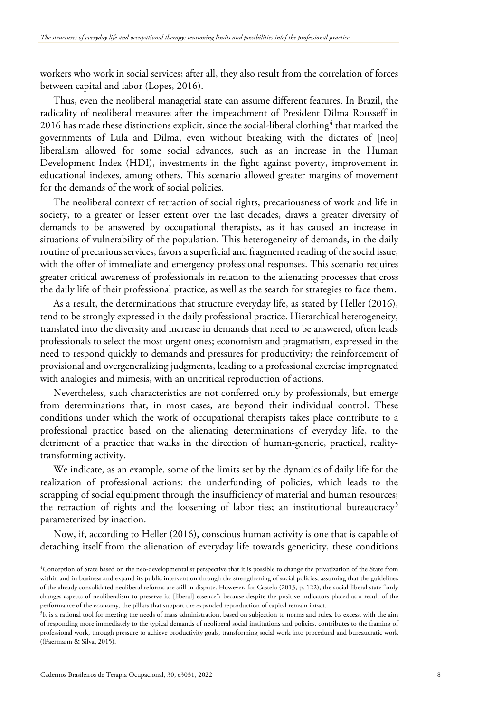workers who work in social services; after all, they also result from the correlation of forces between capital and labor (Lopes, 2016).

Thus, even the neoliberal managerial state can assume different features. In Brazil, the radicality of neoliberal measures after the impeachment of President Dilma Rousseff in 2016 has made these distinctions explicit, since the social-liberal clothing<sup>[4](#page-7-0)</sup> that marked the governments of Lula and Dilma, even without breaking with the dictates of [neo] liberalism allowed for some social advances, such as an increase in the Human Development Index (HDI), investments in the fight against poverty, improvement in educational indexes, among others. This scenario allowed greater margins of movement for the demands of the work of social policies.

The neoliberal context of retraction of social rights, precariousness of work and life in society, to a greater or lesser extent over the last decades, draws a greater diversity of demands to be answered by occupational therapists, as it has caused an increase in situations of vulnerability of the population. This heterogeneity of demands, in the daily routine of precarious services, favors a superficial and fragmented reading of the social issue, with the offer of immediate and emergency professional responses. This scenario requires greater critical awareness of professionals in relation to the alienating processes that cross the daily life of their professional practice, as well as the search for strategies to face them.

As a result, the determinations that structure everyday life, as stated by Heller (2016), tend to be strongly expressed in the daily professional practice. Hierarchical heterogeneity, translated into the diversity and increase in demands that need to be answered, often leads professionals to select the most urgent ones; economism and pragmatism, expressed in the need to respond quickly to demands and pressures for productivity; the reinforcement of provisional and overgeneralizing judgments, leading to a professional exercise impregnated with analogies and mimesis, with an uncritical reproduction of actions.

Nevertheless, such characteristics are not conferred only by professionals, but emerge from determinations that, in most cases, are beyond their individual control. These conditions under which the work of occupational therapists takes place contribute to a professional practice based on the alienating determinations of everyday life, to the detriment of a practice that walks in the direction of human-generic, practical, realitytransforming activity.

We indicate, as an example, some of the limits set by the dynamics of daily life for the realization of professional actions: the underfunding of policies, which leads to the scrapping of social equipment through the insufficiency of material and human resources; the retraction of rights and the loosening of labor ties; an institutional bureaucracy<sup>[5](#page-7-1)</sup> parameterized by inaction.

Now, if, according to Heller (2016), conscious human activity is one that is capable of detaching itself from the alienation of everyday life towards genericity, these conditions

<span id="page-7-0"></span><sup>4</sup> Conception of State based on the neo-developmentalist perspective that it is possible to change the privatization of the State from within and in business and expand its public intervention through the strengthening of social policies, assuming that the guidelines of the already consolidated neoliberal reforms are still in dispute. However, for Castelo (2013, p. 122), the social-liberal state "only changes aspects of neoliberalism to preserve its [liberal] essence"; because despite the positive indicators placed as a result of the performance of the economy, the pillars that support the expanded reproduction of capital remain intact.

<span id="page-7-1"></span> $5$ It is a rational tool for meeting the needs of mass administration, based on subjection to norms and rules. Its excess, with the aim of responding more immediately to the typical demands of neoliberal social institutions and policies, contributes to the framing of professional work, through pressure to achieve productivity goals, transforming social work into procedural and bureaucratic work ((Faermann & Silva, 2015).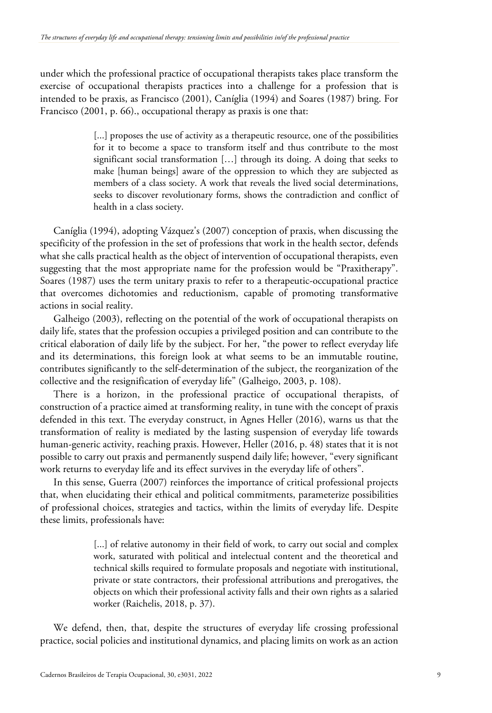under which the professional practice of occupational therapists takes place transform the exercise of occupational therapists practices into a challenge for a profession that is intended to be praxis, as Francisco (2001), Caníglia (1994) and Soares (1987) bring. For Francisco (2001, p. 66)., occupational therapy as praxis is one that:

> [...] proposes the use of activity as a therapeutic resource, one of the possibilities for it to become a space to transform itself and thus contribute to the most significant social transformation […] through its doing. A doing that seeks to make [human beings] aware of the oppression to which they are subjected as members of a class society. A work that reveals the lived social determinations, seeks to discover revolutionary forms, shows the contradiction and conflict of health in a class society.

Caníglia (1994), adopting Vázquez's (2007) conception of praxis, when discussing the specificity of the profession in the set of professions that work in the health sector, defends what she calls practical health as the object of intervention of occupational therapists, even suggesting that the most appropriate name for the profession would be "Praxitherapy". Soares (1987) uses the term unitary praxis to refer to a therapeutic-occupational practice that overcomes dichotomies and reductionism, capable of promoting transformative actions in social reality.

Galheigo (2003), reflecting on the potential of the work of occupational therapists on daily life, states that the profession occupies a privileged position and can contribute to the critical elaboration of daily life by the subject. For her, "the power to reflect everyday life and its determinations, this foreign look at what seems to be an immutable routine, contributes significantly to the self-determination of the subject, the reorganization of the collective and the resignification of everyday life" (Galheigo, 2003, p. 108).

There is a horizon, in the professional practice of occupational therapists, of construction of a practice aimed at transforming reality, in tune with the concept of praxis defended in this text. The everyday construct, in Agnes Heller (2016), warns us that the transformation of reality is mediated by the lasting suspension of everyday life towards human-generic activity, reaching praxis. However, Heller (2016, p. 48) states that it is not possible to carry out praxis and permanently suspend daily life; however, "every significant work returns to everyday life and its effect survives in the everyday life of others".

In this sense, Guerra (2007) reinforces the importance of critical professional projects that, when elucidating their ethical and political commitments, parameterize possibilities of professional choices, strategies and tactics, within the limits of everyday life. Despite these limits, professionals have:

> [...] of relative autonomy in their field of work, to carry out social and complex work, saturated with political and intelectual content and the theoretical and technical skills required to formulate proposals and negotiate with institutional, private or state contractors, their professional attributions and prerogatives, the objects on which their professional activity falls and their own rights as a salaried worker (Raichelis, 2018, p. 37).

We defend, then, that, despite the structures of everyday life crossing professional practice, social policies and institutional dynamics, and placing limits on work as an action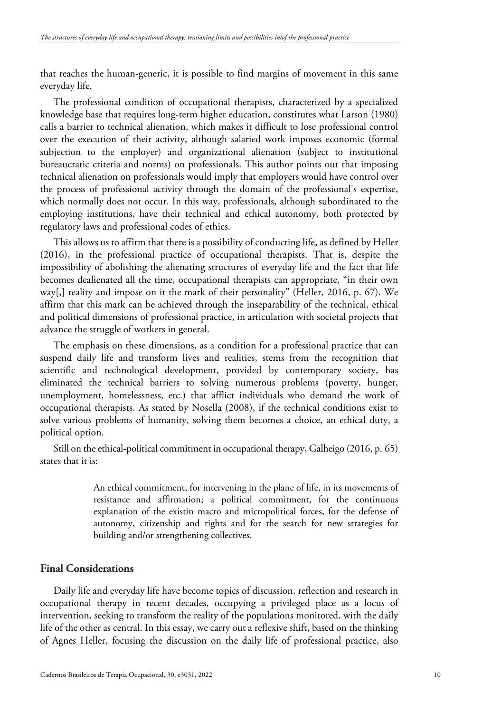that reaches the human-generic, it is possible to find margins of movement in this same everyday life.

The professional condition of occupational therapists, characterized by a specialized knowledge base that requires long-term higher education, constitutes what Larson (1980) calls a barrier to technical alienation, which makes it difficult to lose professional control over the execution of their activity, although salaried work imposes economic (formal subjection to the employer) and organizational alienation (subject to institutional bureaucratic criteria and norms) on professionals. This author points out that imposing technical alienation on professionals would imply that employers would have control over the process of professional activity through the domain of the professional's expertise, which normally does not occur. In this way, professionals, although subordinated to the employing institutions, have their technical and ethical autonomy, both protected by regulatory laws and professional codes of ethics.

This allows us to affirm that there is a possibility of conducting life, as defined by Heller (2016), in the professional practice of occupational therapists. That is, despite the impossibility of abolishing the alienating structures of everyday life and the fact that life becomes dealienated all the time, occupational therapists can appropriate, "in their own way[,] reality and impose on it the mark of their personality" (Heller, 2016, p. 67). We affirm that this mark can be achieved through the inseparability of the technical, ethical and political dimensions of professional practice, in articulation with societal projects that advance the struggle of workers in general.

The emphasis on these dimensions, as a condition for a professional practice that can suspend daily life and transform lives and realities, stems from the recognition that scientific and technological development, provided by contemporary society, has eliminated the technical barriers to solving numerous problems (poverty, hunger, unemployment, homelessness, etc.) that afflict individuals who demand the work of occupational therapists. As stated by Nosella (2008), if the technical conditions exist to solve various problems of humanity, solving them becomes a choice, an ethical duty, a political option.

Still on the ethical-political commitment in occupational therapy, Galheigo (2016, p. 65) states that it is:

> An ethical commitment, for intervening in the plane of life, in its movements of resistance and affirmation; a political commitment, for the continuous explanation of the existin macro and micropolitical forces, for the defense of autonomy, citizenship and rights and for the search for new strategies for building and/or strengthening collectives.

## **Final Considerations**

Daily life and everyday life have become topics of discussion, reflection and research in occupational therapy in recent decades, occupying a privileged place as a locus of intervention, seeking to transform the reality of the populations monitored, with the daily life of the other as central. In this essay, we carry out a reflexive shift, based on the thinking of Agnes Heller, focusing the discussion on the daily life of professional practice, also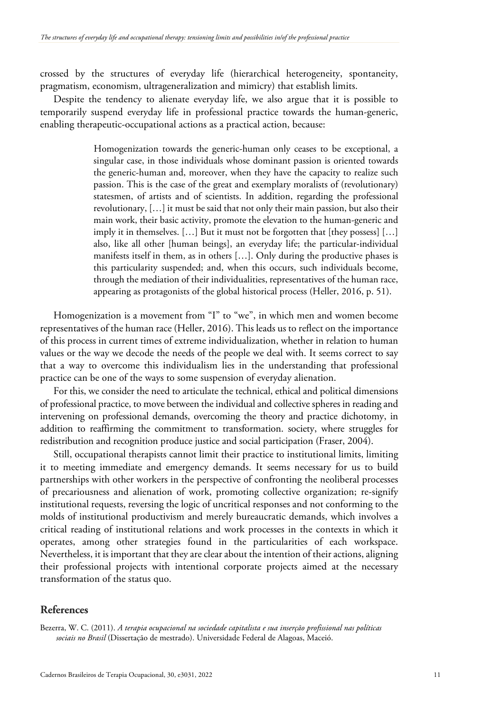crossed by the structures of everyday life (hierarchical heterogeneity, spontaneity, pragmatism, economism, ultrageneralization and mimicry) that establish limits.

Despite the tendency to alienate everyday life, we also argue that it is possible to temporarily suspend everyday life in professional practice towards the human-generic, enabling therapeutic-occupational actions as a practical action, because:

> Homogenization towards the generic-human only ceases to be exceptional, a singular case, in those individuals whose dominant passion is oriented towards the generic-human and, moreover, when they have the capacity to realize such passion. This is the case of the great and exemplary moralists of (revolutionary) statesmen, of artists and of scientists. In addition, regarding the professional revolutionary, […] it must be said that not only their main passion, but also their main work, their basic activity, promote the elevation to the human-generic and imply it in themselves. […] But it must not be forgotten that [they possess] […] also, like all other [human beings], an everyday life; the particular-individual manifests itself in them, as in others […]. Only during the productive phases is this particularity suspended; and, when this occurs, such individuals become, through the mediation of their individualities, representatives of the human race, appearing as protagonists of the global historical process (Heller, 2016, p. 51).

Homogenization is a movement from "I" to "we", in which men and women become representatives of the human race (Heller, 2016). This leads us to reflect on the importance of this process in current times of extreme individualization, whether in relation to human values or the way we decode the needs of the people we deal with. It seems correct to say that a way to overcome this individualism lies in the understanding that professional practice can be one of the ways to some suspension of everyday alienation.

For this, we consider the need to articulate the technical, ethical and political dimensions of professional practice, to move between the individual and collective spheres in reading and intervening on professional demands, overcoming the theory and practice dichotomy, in addition to reaffirming the commitment to transformation. society, where struggles for redistribution and recognition produce justice and social participation (Fraser, 2004).

Still, occupational therapists cannot limit their practice to institutional limits, limiting it to meeting immediate and emergency demands. It seems necessary for us to build partnerships with other workers in the perspective of confronting the neoliberal processes of precariousness and alienation of work, promoting collective organization; re-signify institutional requests, reversing the logic of uncritical responses and not conforming to the molds of institutional productivism and merely bureaucratic demands, which involves a critical reading of institutional relations and work processes in the contexts in which it operates, among other strategies found in the particularities of each workspace. Nevertheless, it is important that they are clear about the intention of their actions, aligning their professional projects with intentional corporate projects aimed at the necessary transformation of the status quo.

## **References**

Bezerra, W. C. (2011). *A terapia ocupacional na sociedade capitalista e sua inserção profissional nas políticas sociais no Brasil* (Dissertação de mestrado). Universidade Federal de Alagoas, Maceió.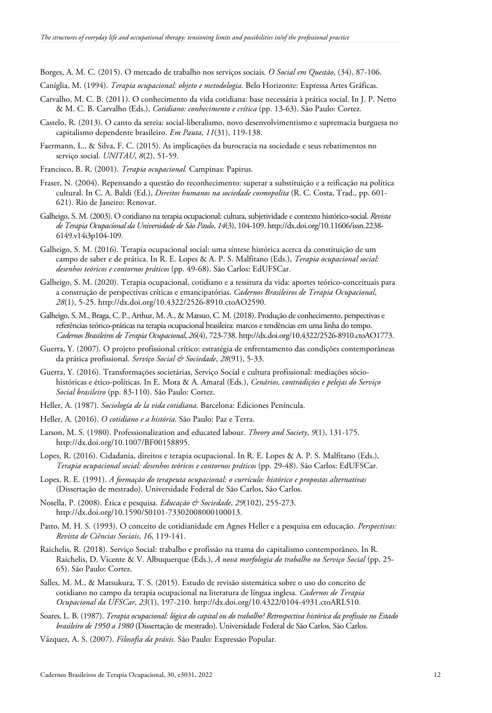Borges, A. M. C. (2015). O mercado de trabalho nos serviços sociais. *O Social em Questão*, (34), 87-106.

Caníglia, M. (1994). *Terapia ocupacional: objeto e metodologia*. Belo Horizonte: Expressa Artes Gráficas.

- Carvalho, M. C. B. (2011). O conhecimento da vida cotidiana: base necessária à prática social. In J. P. Netto & M. C. B. Carvalho (Eds.), *Cotidiano: conhecimento e crítica* (pp. 13-63). São Paulo: Cortez.
- Castelo, R. (2013). O canto da sereia: social-liberalismo, novo desenvolvimentismo e supremacia burguesa no capitalismo dependente brasileiro. *Em Pauta*, *11*(31), 119-138.
- Faermann, L., & Silva, F. C. (2015). As implicações da burocracia na sociedade e seus rebatimentos no serviço social. *UNITAU*, *8*(2), 51-59.
- Francisco, B. R. (2001). *Terapia ocupacional.* Campinas: Papirus.
- Fraser, N. (2004). Repensando a questão do reconhecimento: superar a substituição e a reificação na política cultural. In C. A. Baldi (Ed.), *Direitos humanos na sociedade cosmopolita* (R. C. Costa, Trad., pp. 601- 621). Rio de Janeiro: Renovar.
- Galheigo, S. M. (2003). O cotidiano na terapia ocupacional: cultura, subjetividade e contexto histórico-social. *Revista de Terapia Ocupacional da Universidade de São Paulo*, *14*(3), 104-109[. http://dx.doi.org/10.11606/issn.2238-](https://doi.org/10.11606/issn.2238-6149.v14i3p104-109) [6149.v14i3p104-109.](https://doi.org/10.11606/issn.2238-6149.v14i3p104-109)
- Galheigo, S. M. (2016). Terapia ocupacional social: uma síntese histórica acerca da constituição de um campo de saber e de prática. In R. E. Lopes & A. P. S. Malfitano (Eds.), *Terapia ocupacional social: desenhos teóricos e contornos práticos* (pp. 49-68). São Carlos: EdUFSCar.
- Galheigo, S. M. (2020). Terapia ocupacional, cotidiano e a tessitura da vida: aportes teórico-conceituais para a construção de perspectivas críticas e emancipatórias. *Cadernos Brasileiros de Terapia Ocupacional*, *28*(1), 5-25. [http://dx.doi.org/10.4322/2526-8910.ctoAO2590.](https://doi.org/10.4322/2526-8910.ctoAO2590)
- Galheigo, S. M., Braga, C. P., Arthur, M. A., & Matsuo, C. M. (2018). Produção de conhecimento, perspectivas e referências teórico-práticas na terapia ocupacional brasileira: marcos e tendências em uma linha do tempo. *Cadernos Brasileiros de Terapia Ocupacional*, *26*(4), 723-738[. http://dx.doi.org/10.4322/2526-8910.ctoAO1773.](https://doi.org/10.4322/2526-8910.ctoAO1773)
- Guerra, Y. (2007). O projeto profissional crítico: estratégia de enfrentamento das condições contemporâneas da prática profissional. *Serviço Social & Sociedade*, *28*(91), 5-33.
- Guerra, Y. (2016). Transformações societárias, Serviço Social e cultura profissional: mediações sóciohistóricas e ético-políticas. In E. Mota & A. Amaral (Eds.), *Cenários, contradições e pelejas do Serviço Social brasileiro* (pp. 83-110). São Paulo: Cortez.
- Heller, A. (1987). *Sociología de la vida cotidiana.* Barcelona: Ediciones Peníncula.
- Heller, A. (2016). *O cotidiano e a história.* São Paulo: Paz e Terra.
- Larson, M. S. (1980). Professionalization and educated labour. *Theory and Society*, *9*(1), 131-175. [http://dx.doi.org/10.1007/BF00158895.](https://doi.org/10.1007/BF00158895)
- Lopes, R. (2016). Cidadania, direitos e terapia ocupacional. In R. E. Lopes & A. P. S. Malfitano (Eds.), *Terapia ocupacional social: desenhos teóricos e contornos práticos* (pp. 29-48). São Carlos: EdUFSCar.
- Lopes, R. E. (1991). *A formação do terapeuta ocupacional: o currículo: histórico e propostas alternativas* (Dissertação de mestrado). Universidade Federal de São Carlos, São Carlos.
- Nosella, P. (2008). Ética e pesquisa. *Educação & Sociedade*, *29*(102), 255-273. [http://dx.doi.org/10.1590/S0101-73302008000100013.](https://doi.org/10.1590/S0101-73302008000100013)
- Patto, M. H. S. (1993). O conceito de cotidianidade em Agnes Heller e a pesquisa em educação. *Perspectivas: Revista de Ciências Sociais*, *16*, 119-141.
- Raichelis, R. (2018). Serviço Social: trabalho e profissão na trama do capitalismo contemporâneo. In R. Raichelis, D. Vicente & V. Albuquerque (Eds.), *A nova morfologia do trabalho no Serviço Social* (pp. 25- 65). São Paulo: Cortez.
- Salles, M. M., & Matsukura, T. S. (2015). Estudo de revisão sistemática sobre o uso do conceito de cotidiano no campo da terapia ocupacional na literatura de língua inglesa. *Cadernos de Terapia Ocupacional da UFSCar*, *23*(1), 197-210[. http://dx.doi.org/10.4322/0104-4931.ctoARL510.](https://doi.org/10.4322/0104-4931.ctoARL510)
- Soares, L. B. (1987). *Terapia ocupacional: lógica do capital ou do trabalho? Retrospectiva histórica da profissão no Estado brasileiro de 1950 a 1980* (Dissertação de mestrado). Universidade Federal de São Carlos, São Carlos.
- Vázquez, A. S. (2007). *Filosofia da práxis.* São Paulo: Expressão Popular.